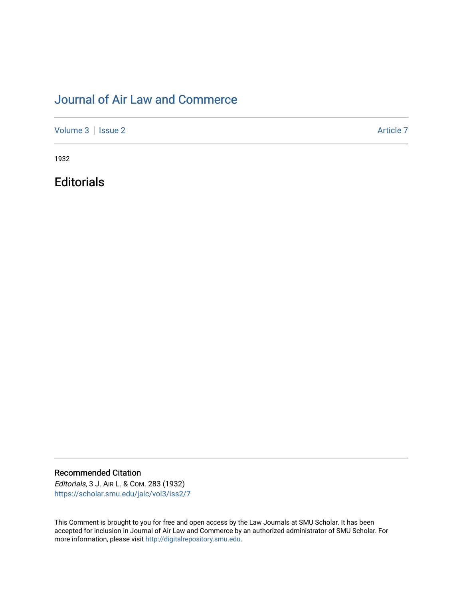# [Journal of Air Law and Commerce](https://scholar.smu.edu/jalc)

[Volume 3](https://scholar.smu.edu/jalc/vol3) | [Issue 2](https://scholar.smu.edu/jalc/vol3/iss2) Article 7

1932

**Editorials** 

Recommended Citation

Editorials, 3 J. AIR L. & COM. 283 (1932) [https://scholar.smu.edu/jalc/vol3/iss2/7](https://scholar.smu.edu/jalc/vol3/iss2/7?utm_source=scholar.smu.edu%2Fjalc%2Fvol3%2Fiss2%2F7&utm_medium=PDF&utm_campaign=PDFCoverPages)

This Comment is brought to you for free and open access by the Law Journals at SMU Scholar. It has been accepted for inclusion in Journal of Air Law and Commerce by an authorized administrator of SMU Scholar. For more information, please visit [http://digitalrepository.smu.edu](http://digitalrepository.smu.edu/).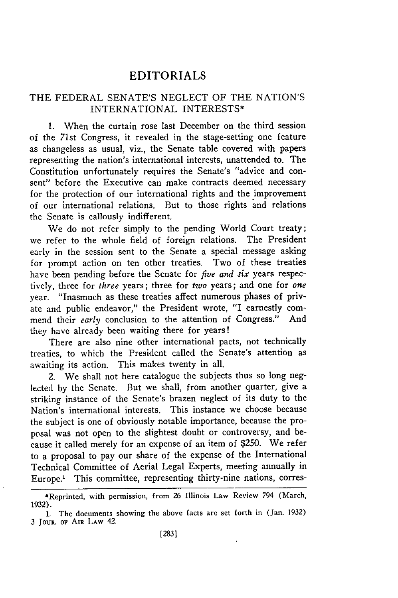## EDITORIALS

## THE FEDERAL SENATE'S NEGLECT OF THE NATION'S INTERNATIONAL INTERESTS\*

1. When the curtain rose last December on the third session of the 71st Congress, it revealed in the stage-setting one feature as changeless as usual, viz., the Senate table covered with papers representing the nation's international interests, unattended to. The Constitution unfortunately requires the Senate's "advice and consent" before the Executive can make contracts deemed necessary for the protection of our international rights and the improvement of our international relations. But to those rights and relations the Senate is callously indifferent.

We do not refer simply to the pending World Court treaty; we refer to the whole field of foreign relations. The President early in the session sent to the Senate a special message asking for prompt action on ten other treaties. Two of these treaties have been pending before the Senate for *five and six* years respectively, three for *three* years; three for *two* years; and one for *one* year. "Inasmuch as these treaties affect numerous phases of private and public endeavor," the President wrote, "I earnestly commend their *early* conclusion to the attention of Congress." And they have already been waiting there for years!

There are also nine other international pacts, not technically treaties, to which the President called the Senate's attention as awaiting its action. This makes twenty in all.

2. We shall not here catalogue the subjects thus so long neglected by the Senate. But we shall, from another quarter, give a striking instance of the Senate's brazen neglect of its duty to the Nation's international interests. This instance we choose because the subject is one of obviously notable importance, because the proposal was not open to the slightest doubt or controversy, and because it called merely for an expense of an item of \$250. We refer to a proposal to pay our share of the expense of the International Technical Committee of Aerial Legal Experts, meeting annually in Europe.' This committee, representing thirty-nine nations, corres-

<sup>\*</sup>Reprinted, with permission, from **26** Illinois Law Review 794 (March, 1932).

<sup>1.</sup> The documents showing the above facts are set forth in (Jan. 1932) **3 JOUR. OF** AIR **IAW** 42.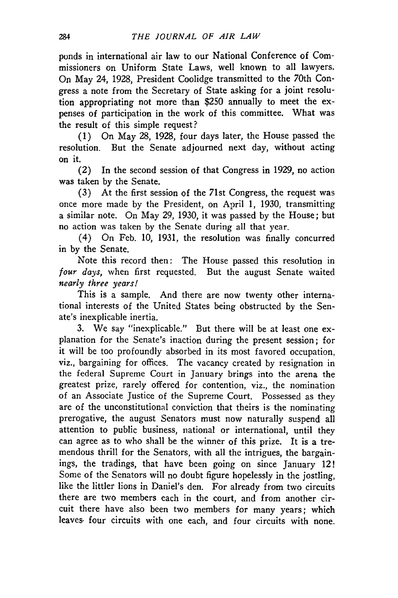ponds in international air law to our National Conference of Commissioners on Uniform State Laws, well known to all lawyers. On May 24, 1928, President Coolidge transmitted to the 70th Congress a note from the Secretary of State asking for a joint resolution appropriating not more than \$250 annually to meet the expenses of participation in the work of this committee. What was the result of this simple request?

(1) On May 28, 1928, four days later, the House passed the resolution. But the Senate adjourned next day, without acting on it.

(2) In the second session of that Congress in 1929, no action was taken by the Senate.

(3) At the first session of the 71st Congress, the request was once more made by the President, on April 1, 1930, transmitting a similar note. On May 29, 1930, it was passed by the House; but no action was taken by the Senate during all that year.

(4) On Feb. 10, 1931, the resolution was finally concurred in by the Senate.

Note this record then: The House passed this resolution in *four days,* when first requested. But the august Senate waited *nearly three years!*

This is a sample. And there are now twenty other international interests of the United States being obstructed by the Senate's inexplicable inertia.

3. We say "inexplicable." But there will be at least one explanation for the Senate's inaction during the present session; for it will be too profoundly absorbed in its most favored occupation, viz., bargaining for offices. The vacancy created by resignation in the federal Supreme Court in January brings into the arena the greatest prize, rarely offered for contention, viz., the nomination of an Associate Justice of the Supreme Court. Possessed as they are of the unconstitutional conviction that theirs is the nominating prerogative, the august Senators must now naturally suspend all attention to public business, national or international, until they can agree as to who shall be the winner of this prize. It is a tremendous thrill for the Senators, with all the intrigues, the bargainings, the tradings, that have been going on since January 12! Some of the Senators will no doubt figure hopelessly in the jostling, like the littler lions in Daniel's den. For already from two circuits there are two members each in the court, and from another circuit there have also been two members for many years; which leaves. four circuits with one each, and four circuits with none.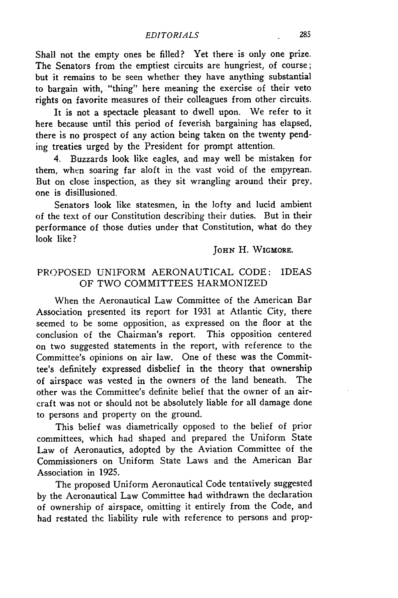Shall not the empty ones be filled? Yet there is only one prize. The Senators from the emptiest circuits are hungriest, of course; but it remains to be seen whether they have anything substantial to bargain with, "thing" here meaning the exercise of their veto rights on favorite measures of their colleagues from other circuits.

It is not a spectacle pleasant to dwell upon. We refer to it here because until this period of feverish bargaining has elapsed, there is no prospect of any action being taken on the twenty pending treaties urged by the President for prompt attention.

4. Buzzards look like eagles, and may well be mistaken for them, when soaring far aloft in the vast void of the empyrean. But on close inspection, as they sit wrangling around their prey, one is disillusioned.

Senators look like statesmen, in the lofty and lucid ambient of the text of our Constitution describing their duties. But in their performance of those duties under that Constitution, what do they look like?

#### **JOHN** H. **WIGMORE.**

### PROPOSED UNIFORM AERONAUTICAL CODE: IDEAS OF TWO COMMITTEES HARMONIZED

When the Aeronautical Law Committee of the American Bar Association presented its report for 1931 at Atlantic City, there seemed to be some opposition, as expressed on the floor at the conclusion of the Chairman's report. This opposition centered on two suggested statements in the report, with reference to the Committee's opinions on air law. One of these was the Committee's definitely expressed disbelief in the theory that ownership of airspace was vested in the owners of the land beneath. The other was the Committee's definite belief that the owner of an aircraft was not or should not be absolutely liable for all damage done to persons and property on the ground.

This belief was diametrically opposed to the belief of prior committees, which had shaped and prepared the Uniform State Law of Aeronautics, adopted **by** the Aviation Committee of the Commissioners on Uniform State Laws and the American Bar Association in **1925.**

The proposed Uniform Aeronautical Code tentatively suggested **by** the Aeronautical Law Committee had withdrawn the declaration of ownership of airspace, omitting it entirely from the Code, and had restated the liability rule with reference to persons and prop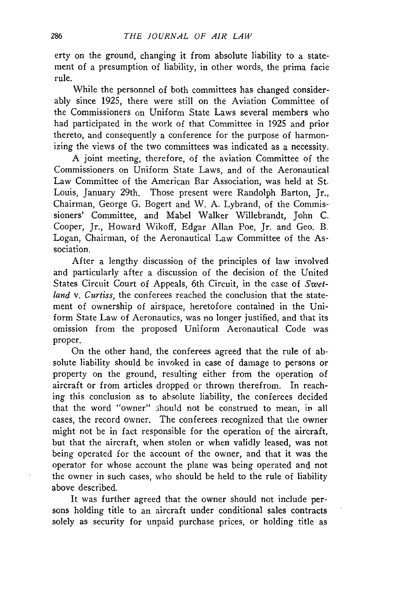erty on the ground, changing it from absolute liability to a statement of a presumption of liability, in other words, the prima facie rule.

While the personnel of both committees has changed considerably since 1925, there were still on the Aviation Committee of the Commissioners on Uniform State Laws several members who had participated in the work of that Committee in 1925 and prior thereto, and consequently a conference for the purpose of harmonizing the views of the two committees was indicated as a necessity.

A joint meeting, therefore, of the aviation Committee of the Commissioners on Uniform State Laws, and of the Aeronautical Law Committee of the American Bar Association, was held at St. Louis, January 29th. Those present were Randolph Barton, Jr., Chairman, George G. Bogert and W. A. Lybrand, of the Commissioners' Committee, and Mabel Walker Willebrandt, John C. Cooper, Jr., Howard Wikoff, Edgar Allan Poe, Jr. and Geo. B. Logan, Chairman, of the Aeronautical Law Committee of the Association.

After a lengthy discussion of the principles of law involved and particularly after a discussion of the decision of the United States Circuit Court of Appeals, 6th Circuit, in the case of *Swetland v. Curtiss,* the conferees reached the conclusion that the statement of ownership of airspace, heretofore contained in the Uniform State Law of Aeronautics, was no longer justified, and that its omission from the proposed Uniform Aeronautical Code was proper.

On the other hand, the conferees agreed that the rule of absolute liability should be invoked in case of damage to persons or property on the ground, resulting either from the operation of aircraft or from articles dropped or thrown therefrom. In reaching this conclusion as to absolute liability, the conferees decided that the word "owner" 3hould not be construed to mean, in all cases, the record owner. The conferees recognized that the owner might not be in fact responsible for the operation of the aircraft, but that the aircraft, when stolen or when validly leased, was not being operated for the account of the owner, and that it was the operator for whose account the plane was being operated and not the owner in such cases, who should be held to the rule of liability above described.

It was further agreed that the owner should not include persons holding title to an aircraft under conditional sales contracts solely as security for unpaid purchase prices, or holding title as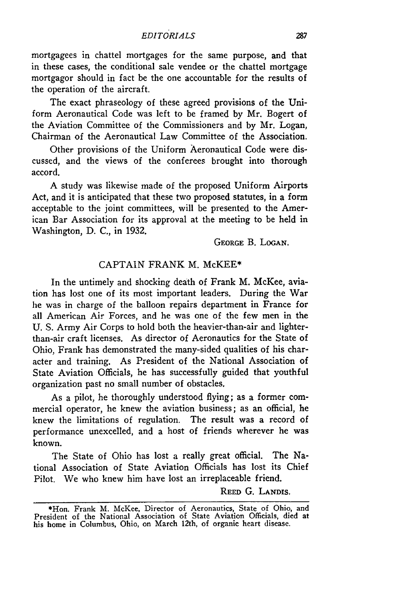mortgagees in chattel mortgages for the same purpose, and that in these cases, the conditional sale vendee or the chattel mortgage mortgagor should in fact be the one accountable for the results of the operation of the aircraft.

The exact phraseology of these agreed provisions of the Uniform Aeronautical Code was left to be framed by Mr. Bogert of the Aviation Committee of the Commissioners and by Mr. Logan, Chairman of the Aeronautical Law Committee of the Association.

Other provisions of the Uniform Aeronautical Code were discussed, and the views of the conferees brought into thorough accord.

A study was likewise made of the proposed Uniform Airports Act, and it is anticipated that these two proposed statutes, in a form acceptable to the joint committees, will be presented to the American Bar Association for its approval at the meeting to be held in Washington, D. C., in 1932.

**GEORGE** B. **LOGAN.**

#### CAPTAIN FRANK M. McKEE\*

In the untimely and shocking death of Frank M. McKee, aviation has lost one of its most important leaders. During the War he was in charge of the balloon repairs department in France for all American Air Forces, and he was one of the few men in the U. S. Army Air Corps to hold both the heavier-than-air and lighterthan-air craft licenses. As director of Aeronautics for the State of Ohio, Frank has demonstrated the many-sided qualities of his character and training. As President of the National Association of State Aviation Officials, he has successfully guided that youthful organization past no small number of obstacles.

As a pilot, he thoroughly understood flying; as a former commercial operator, he knew the aviation business; as an official, he knew the limitations of regulation. The result was a record of performance unexcelled, and a host of friends wherever he was known.

The State of Ohio has lost a really great official. The National Association of State Aviation Officials has lost its Chief Pilot. We who knew him have lost an irreplaceable friend.

**REED G. LANDIS.**

<sup>\*</sup>Hon. Frank M. McKee, Director of Aeronautics, State of Ohio, and President of the National Association of State Aviation Officials, died at his home in Columbus, Ohio, on March 12th, of organic heart disease.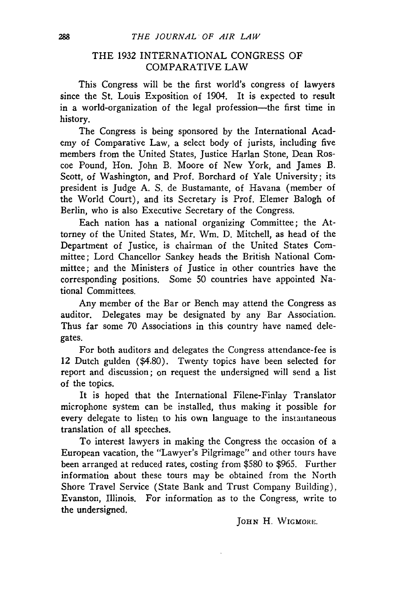## THE 1932 INTERNATIONAL CONGRESS OF COMPARATIVE LAW

This Congress will be the first world's congress of lawyers since the St. Louis Exposition of 1904. It is expected to result in a world-organization of the legal profession—the first time in history.

The Congress is being sponsored by the International Academy of Comparative Law, a select body of jurists, including five members from the United States, Justice Harlan Stone, Dean Roscoe Pound, Hon. John B. Moore of New York, and James *B.* Scott, of Washington, and Prof. Borchard of Yale University; its president is Judge A. S. de Bustamante, of Havana (member of the World Court), and its Secretary is Prof. Elemer Balogh of Berlin, who is also Executive Secretary of the Congress.

Each nation has a national organizing Committee; the Attorney of the United States, Mr. Wm. D. Mitchell, as head of the Department of Justice, is chairman of the United States Committee; Lord Chancellor Sankey heads the British National Committee; and the Ministers of Justice in other countries have the corresponding positions. Some 50 countries have appointed National Committees.

Any member of the Bar or Bench may attend the Congress as auditor. Delegates may be designated by any Bar Association. Thus far some 70 Associations in this country have named delegates.

For both auditors and delegates the Congress attendance-fee is 12 Dutch gulden (\$4.80). Twenty topics have been selected for report and discussion; on request the undersigned will send a list of the topics.

It is hoped that the International Filene-Finlay Translator microphone system can be installed, thus making it possible for every delegate to listen to his own language to the instantaneous translation of all speeches.

To interest lawyers in making the Congress the occasion of a European vacation, the "Lawyer's Pilgrimage" and other tours have been arranged at reduced rates, costing from \$580 to \$965. Further information about these tours may be obtained from the North Shore Travel Service (State Bank and Trust Company Building), Evanston, Illinois. For information as to the Congress, write to the undersigned.

**JOHN** H. WIGMORE.